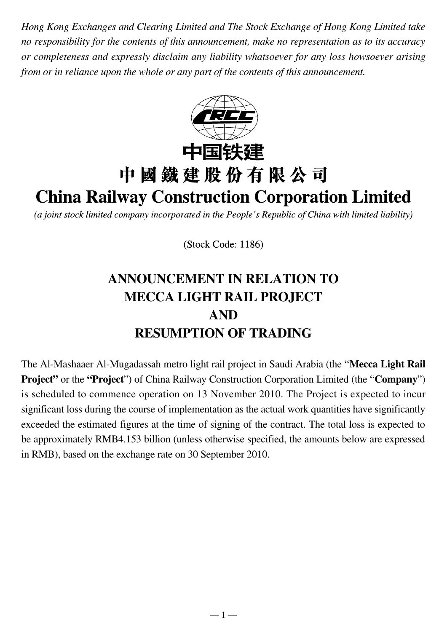*Hong Kong Exchanges and Clearing Limited and The Stock Exchange of Hong Kong Limited take no responsibility for the contents of this announcement, make no representation as to its accuracy or completeness and expressly disclaim any liability whatsoever for any loss howsoever arising from or in reliance upon the whole or any part of the contents of this announcement.*



(a joint stock limited company incorporated in the People's Republic of China with limited liability)

(Stock Code: 1186)

# **ANNOUNCEMENT IN RELATION TO MECCA LIGHT RAIL PROJECT AND RESUMPTION OF TRADING**

The Al-Mashaaer Al-Mugadassah metro light rail project in Saudi Arabia (the "**Mecca Light Rail Project**" or the "**Project**") of China Railway Construction Corporation Limited (the "**Company**") is scheduled to commence operation on 13 November 2010. The Project is expected to incur significant loss during the course of implementation as the actual work quantities have significantly exceeded the estimated figures at the time of signing of the contract. The total loss is expected to be approximately RMB4.153 billion (unless otherwise specified, the amounts below are expressed in RMB), based on the exchange rate on 30 September 2010.

 $-1-$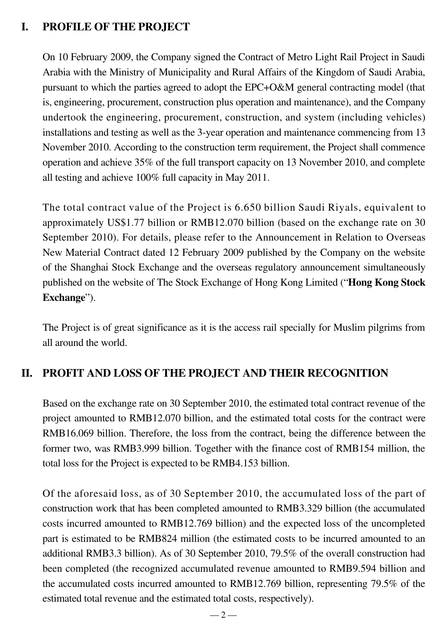## **I. PROFILE OF THE PROJECT**

On 10 February 2009, the Company signed the Contract of Metro Light Rail Project in Saudi Arabia with the Ministry of Municipality and Rural Affairs of the Kingdom of Saudi Arabia, pursuant to which the parties agreed to adopt the EPC+O&M general contracting model (that is, engineering, procurement, construction plus operation and maintenance), and the Company undertook the engineering, procurement, construction, and system (including vehicles) installations and testing as well as the 3-year operation and maintenance commencing from 13 November 2010. According to the construction term requirement, the Project shall commence operation and achieve 35% of the full transport capacity on 13 November 2010, and complete all testing and achieve 100% full capacity in May 2011.

The total contract value of the Project is 6.650 billion Saudi Riyals, equivalent to approximately US\$1.77 billion or RMB12.070 billion (based on the exchange rate on 30 September 2010). For details, please refer to the Announcement in Relation to Overseas New Material Contract dated 12 February 2009 published by the Company on the website of the Shanghai Stock Exchange and the overseas regulatory announcement simultaneously published on the website of The Stock Exchange of Hong Kong Limited ("**Hong Kong Stock Exchange**").

The Project is of great significance as it is the access rail specially for Muslim pilgrims from all around the world.

## **II. PROFIT AND LOSS OF THE PROJECT AND THEIR RECOGNITION**

Based on the exchange rate on 30 September 2010, the estimated total contract revenue of the project amounted to RMB12.070 billion, and the estimated total costs for the contract were RMB16.069 billion. Therefore, the loss from the contract, being the difference between the former two, was RMB3.999 billion. Together with the finance cost of RMB154 million, the total loss for the Project is expected to be RMB4.153 billion.

Of the aforesaid loss, as of 30 September 2010, the accumulated loss of the part of construction work that has been completed amounted to RMB3.329 billion (the accumulated costs incurred amounted to RMB12.769 billion) and the expected loss of the uncompleted part is estimated to be RMB824 million (the estimated costs to be incurred amounted to an additional RMB3.3 billion). As of 30 September 2010, 79.5% of the overall construction had been completed (the recognized accumulated revenue amounted to RMB9.594 billion and the accumulated costs incurred amounted to RMB12.769 billion, representing 79.5% of the estimated total revenue and the estimated total costs, respectively).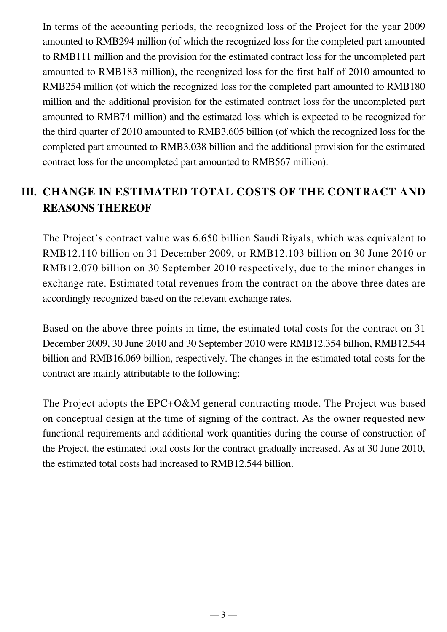In terms of the accounting periods, the recognized loss of the Project for the year 2009 amounted to RMB294 million (of which the recognized loss for the completed part amounted to RMB111 million and the provision for the estimated contract loss for the uncompleted part amounted to RMB183 million), the recognized loss for the first half of 2010 amounted to RMB254 million (of which the recognized loss for the completed part amounted to RMB180 million and the additional provision for the estimated contract loss for the uncompleted part amounted to RMB74 million) and the estimated loss which is expected to be recognized for the third quarter of 2010 amounted to RMB3.605 billion (of which the recognized loss for the completed part amounted to RMB3.038 billion and the additional provision for the estimated contract loss for the uncompleted part amounted to RMB567 million).

# **III. CHANGE IN ESTIMATED TOTAL COSTS OF THE CONTRACT AND REASONS THEREOF**

The Project's contract value was 6.650 billion Saudi Riyals, which was equivalent to RMB12.110 billion on 31 December 2009, or RMB12.103 billion on 30 June 2010 or RMB12.070 billion on 30 September 2010 respectively, due to the minor changes in exchange rate. Estimated total revenues from the contract on the above three dates are accordingly recognized based on the relevant exchange rates.

Based on the above three points in time, the estimated total costs for the contract on 31 December 2009, 30 June 2010 and 30 September 2010 were RMB12.354 billion, RMB12.544 billion and RMB16.069 billion, respectively. The changes in the estimated total costs for the contract are mainly attributable to the following:

The Project adopts the EPC+O&M general contracting mode. The Project was based on conceptual design at the time of signing of the contract. As the owner requested new functional requirements and additional work quantities during the course of construction of the Project, the estimated total costs for the contract gradually increased. As at 30 June 2010, the estimated total costs had increased to RMB12.544 billion.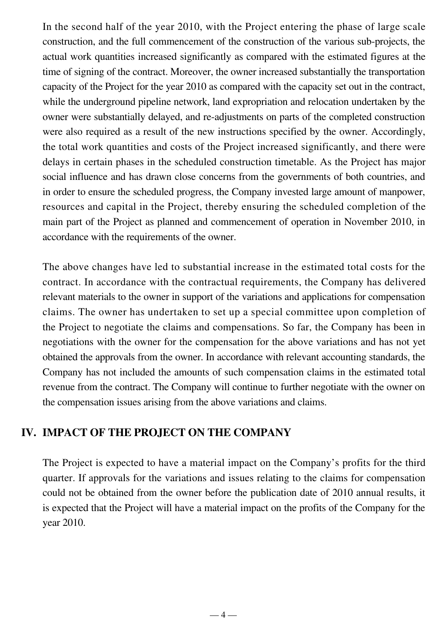In the second half of the year 2010, with the Project entering the phase of large scale construction, and the full commencement of the construction of the various sub-projects, the actual work quantities increased significantly as compared with the estimated figures at the time of signing of the contract. Moreover, the owner increased substantially the transportation capacity of the Project for the year 2010 as compared with the capacity set out in the contract, while the underground pipeline network, land expropriation and relocation undertaken by the owner were substantially delayed, and re-adjustments on parts of the completed construction were also required as a result of the new instructions specified by the owner. Accordingly, the total work quantities and costs of the Project increased significantly, and there were delays in certain phases in the scheduled construction timetable. As the Project has major social influence and has drawn close concerns from the governments of both countries, and in order to ensure the scheduled progress, the Company invested large amount of manpower, resources and capital in the Project, thereby ensuring the scheduled completion of the main part of the Project as planned and commencement of operation in November 2010, in accordance with the requirements of the owner.

The above changes have led to substantial increase in the estimated total costs for the contract. In accordance with the contractual requirements, the Company has delivered relevant materials to the owner in support of the variations and applications for compensation claims. The owner has undertaken to set up a special committee upon completion of the Project to negotiate the claims and compensations. So far, the Company has been in negotiations with the owner for the compensation for the above variations and has not yet obtained the approvals from the owner. In accordance with relevant accounting standards, the Company has not included the amounts of such compensation claims in the estimated total revenue from the contract. The Company will continue to further negotiate with the owner on the compensation issues arising from the above variations and claims.

#### **IV. IMPACT OF THE PROJECT ON THE COMPANY**

The Project is expected to have a material impact on the Company's profits for the third quarter. If approvals for the variations and issues relating to the claims for compensation could not be obtained from the owner before the publication date of 2010 annual results, it is expected that the Project will have a material impact on the profits of the Company for the year 2010.